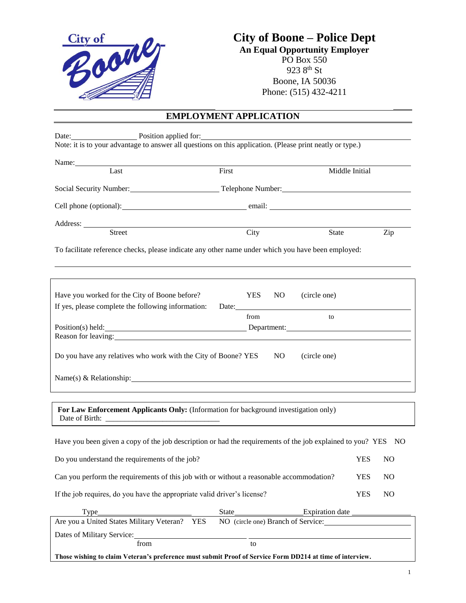

# **City of Boone – Police Dept**

**An Equal Opportunity Employer** PO Box 550 923 8th St Boone, IA 50036 Phone: (515) 432-4211

# **EMPLOYMENT APPLICATION**

| Last                                                                                                                                                                                                                                   | Name:<br>First                                                                                                | Middle Initial         |
|----------------------------------------------------------------------------------------------------------------------------------------------------------------------------------------------------------------------------------------|---------------------------------------------------------------------------------------------------------------|------------------------|
|                                                                                                                                                                                                                                        |                                                                                                               |                        |
|                                                                                                                                                                                                                                        | Cell phone (optional): email: email:                                                                          |                        |
|                                                                                                                                                                                                                                        |                                                                                                               |                        |
| Address: <u>Street City</u>                                                                                                                                                                                                            |                                                                                                               | Zip<br>State           |
|                                                                                                                                                                                                                                        | To facilitate reference checks, please indicate any other name under which you have been employed:            |                        |
| Have you worked for the City of Boone before?                                                                                                                                                                                          | <b>YES</b><br>(circle one)<br>NO.                                                                             |                        |
| If yes, please complete the following information:                                                                                                                                                                                     | Date: 2008. [10] Date:                                                                                        |                        |
|                                                                                                                                                                                                                                        | from<br>to                                                                                                    |                        |
| Reason for leaving:<br><u>International contract of the set of the set of the set of the set of the set of the set of the set of the set of the set of the set of the set of the set of the set of the set of the set of the set o</u> | Position(s) held: Department: Department:                                                                     |                        |
|                                                                                                                                                                                                                                        |                                                                                                               |                        |
| Do you have any relatives who work with the City of Boone? YES                                                                                                                                                                         | NO <sub>1</sub><br>(circle one)                                                                               |                        |
|                                                                                                                                                                                                                                        | Name(s) & Relationship: Name (s) & Relationship:                                                              |                        |
|                                                                                                                                                                                                                                        | For Law Enforcement Applicants Only: (Information for background investigation only)                          |                        |
|                                                                                                                                                                                                                                        |                                                                                                               |                        |
|                                                                                                                                                                                                                                        |                                                                                                               |                        |
|                                                                                                                                                                                                                                        | Have you been given a copy of the job description or had the requirements of the job explained to you? YES NO |                        |
|                                                                                                                                                                                                                                        |                                                                                                               | <b>YES</b><br>NO.      |
|                                                                                                                                                                                                                                        | Can you perform the requirements of this job with or without a reasonable accommodation?                      | <b>YES</b><br>$\rm NO$ |
|                                                                                                                                                                                                                                        |                                                                                                               | <b>YES</b><br>NO       |
| Type                                                                                                                                                                                                                                   | State                                                                                                         |                        |
| Do you understand the requirements of the job?<br>If the job requires, do you have the appropriate valid driver's license?                                                                                                             | Are you a United States Military Veteran? YES NO (circle one) Branch of Service:                              |                        |
|                                                                                                                                                                                                                                        |                                                                                                               |                        |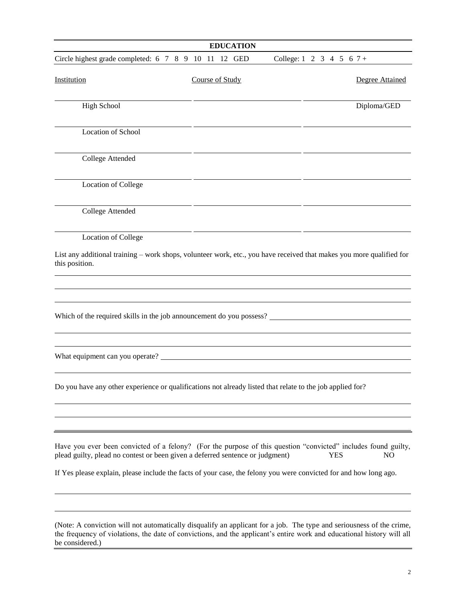| <b>EDUCATION</b>                                                                                                                                                                                |                 |                                        |                              |  |
|-------------------------------------------------------------------------------------------------------------------------------------------------------------------------------------------------|-----------------|----------------------------------------|------------------------------|--|
| Circle highest grade completed: 6 7 8 9 10 11 12 GED                                                                                                                                            |                 | College: $1 \t2 \t3 \t4 \t5 \t6 \t7 +$ |                              |  |
| Institution                                                                                                                                                                                     | Course of Study |                                        | Degree Attained              |  |
| <b>High School</b>                                                                                                                                                                              |                 |                                        | Diploma/GED                  |  |
| Location of School                                                                                                                                                                              |                 |                                        |                              |  |
| College Attended                                                                                                                                                                                |                 |                                        |                              |  |
| <b>Location of College</b>                                                                                                                                                                      |                 |                                        |                              |  |
| College Attended                                                                                                                                                                                |                 |                                        |                              |  |
| <b>Location of College</b>                                                                                                                                                                      |                 |                                        |                              |  |
| List any additional training – work shops, volunteer work, etc., you have received that makes you more qualified for<br>this position.                                                          |                 |                                        |                              |  |
|                                                                                                                                                                                                 |                 |                                        |                              |  |
| Which of the required skills in the job announcement do you possess?                                                                                                                            |                 |                                        |                              |  |
|                                                                                                                                                                                                 |                 |                                        |                              |  |
| What equipment can you operate?                                                                                                                                                                 |                 |                                        |                              |  |
|                                                                                                                                                                                                 |                 |                                        |                              |  |
| Do you have any other experience or qualifications not already listed that relate to the job applied for?                                                                                       |                 |                                        |                              |  |
|                                                                                                                                                                                                 |                 |                                        |                              |  |
|                                                                                                                                                                                                 |                 |                                        |                              |  |
| Have you ever been convicted of a felony? (For the purpose of this question "convicted" includes found guilty,<br>plead guilty, plead no contest or been given a deferred sentence or judgment) |                 |                                        | <b>YES</b><br>N <sub>O</sub> |  |
| If Yes please explain, please include the facts of your case, the felony you were convicted for and how long ago.                                                                               |                 |                                        |                              |  |
|                                                                                                                                                                                                 |                 |                                        |                              |  |
| (Note: A conviction will not automatically disqualify an applicant for a job. The type and seriousness of the crime                                                                             |                 |                                        |                              |  |

(Note: A conviction will not automatically disqualify an applicant for a job. The type and seriousness of the crime, the frequency of violations, the date of convictions, and the applicant's entire work and educational history will all be considered.)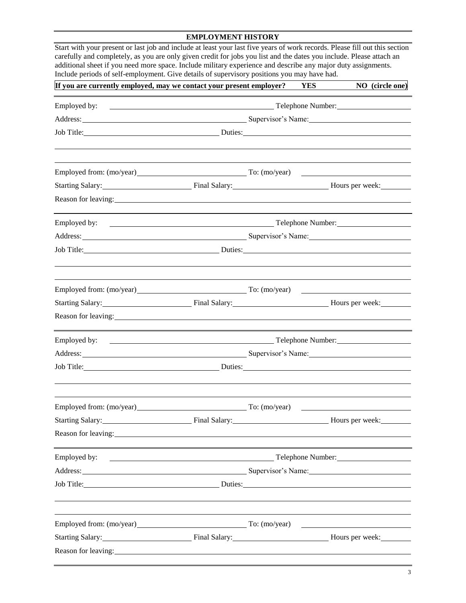#### **EMPLOYMENT HISTORY**

| Start with your present or last job and include at least your last five years of work records. Please fill out this section<br>carefully and completely, as you are only given credit for jobs you list and the dates you include. Please attach an<br>additional sheet if you need more space. Include military experience and describe any major duty assignments.<br>Include periods of self-employment. Give details of supervisory positions you may have had. |  |            |                   |  |
|---------------------------------------------------------------------------------------------------------------------------------------------------------------------------------------------------------------------------------------------------------------------------------------------------------------------------------------------------------------------------------------------------------------------------------------------------------------------|--|------------|-------------------|--|
| If you are currently employed, may we contact your present employer?                                                                                                                                                                                                                                                                                                                                                                                                |  | <b>YES</b> | NO (circle one)   |  |
| Employed by:                                                                                                                                                                                                                                                                                                                                                                                                                                                        |  |            | Telephone Number: |  |
|                                                                                                                                                                                                                                                                                                                                                                                                                                                                     |  |            |                   |  |
| Job Title: <u>Duties:</u> Duties: <u>Duties:</u> Duties:                                                                                                                                                                                                                                                                                                                                                                                                            |  |            |                   |  |
| Employed from: (mo/year) To: (mo/year) To: (mo/year)                                                                                                                                                                                                                                                                                                                                                                                                                |  |            |                   |  |
| Starting Salary: Final Salary: Final Salary: Hours per week:                                                                                                                                                                                                                                                                                                                                                                                                        |  |            |                   |  |
| Reason for leaving: 1999. The contract of the contract of the contract of the contract of the contract of the contract of the contract of the contract of the contract of the contract of the contract of the contract of the                                                                                                                                                                                                                                       |  |            |                   |  |
|                                                                                                                                                                                                                                                                                                                                                                                                                                                                     |  |            |                   |  |
|                                                                                                                                                                                                                                                                                                                                                                                                                                                                     |  |            |                   |  |
|                                                                                                                                                                                                                                                                                                                                                                                                                                                                     |  |            |                   |  |
| Employed from: (mo/year) To: (mo/year) To: (mo/year)                                                                                                                                                                                                                                                                                                                                                                                                                |  |            |                   |  |
| Starting Salary: Final Salary: Final Salary: Hours per week: Manus Contains Salary:                                                                                                                                                                                                                                                                                                                                                                                 |  |            |                   |  |
| Reason for leaving: 1999. The same state of the state of the state of the state of the state of the state of the state of the state of the state of the state of the state of the state of the state of the state of the state                                                                                                                                                                                                                                      |  |            |                   |  |
|                                                                                                                                                                                                                                                                                                                                                                                                                                                                     |  |            |                   |  |
| Address: Supervisor's Name: Supervisor's Name: Supervisor's Name: Supervisor's Name:                                                                                                                                                                                                                                                                                                                                                                                |  |            |                   |  |
|                                                                                                                                                                                                                                                                                                                                                                                                                                                                     |  |            |                   |  |
| Employed from: (mo/year) To: (mo/year) To: (mo/year)                                                                                                                                                                                                                                                                                                                                                                                                                |  |            |                   |  |
| Starting Salary: Final Salary: Final Salary: Hours per week:                                                                                                                                                                                                                                                                                                                                                                                                        |  |            |                   |  |
| Reason for leaving: example and the set of the set of the set of the set of the set of the set of the set of the set of the set of the set of the set of the set of the set of the set of the set of the set of the set of the                                                                                                                                                                                                                                      |  |            |                   |  |
| Employed by:                                                                                                                                                                                                                                                                                                                                                                                                                                                        |  |            |                   |  |
|                                                                                                                                                                                                                                                                                                                                                                                                                                                                     |  |            |                   |  |
| Job Title: <u>Duties:</u> Duties:                                                                                                                                                                                                                                                                                                                                                                                                                                   |  |            |                   |  |
| Employed from: (mo/year) To: (mo/year)                                                                                                                                                                                                                                                                                                                                                                                                                              |  |            |                   |  |
| Starting Salary: Final Salary: Final Salary: Final Salary: Final Salary: Final Salary:                                                                                                                                                                                                                                                                                                                                                                              |  |            |                   |  |
| Reason for leaving:                                                                                                                                                                                                                                                                                                                                                                                                                                                 |  |            |                   |  |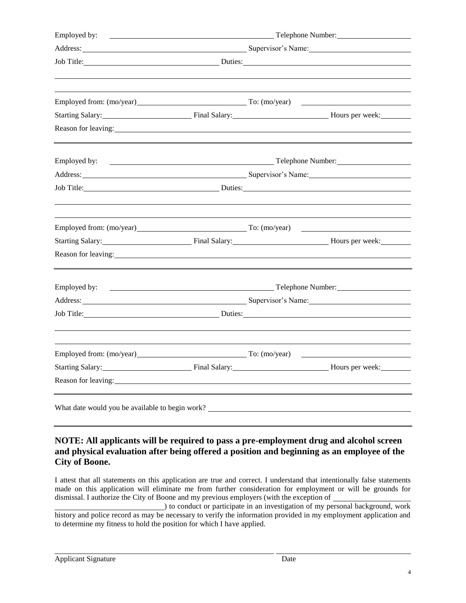| Employed by:                                                                                                                                                                                                                   |                                                                                                                                                                                                                                | <b>Example 2018</b> Telephone Number:                                                  |
|--------------------------------------------------------------------------------------------------------------------------------------------------------------------------------------------------------------------------------|--------------------------------------------------------------------------------------------------------------------------------------------------------------------------------------------------------------------------------|----------------------------------------------------------------------------------------|
|                                                                                                                                                                                                                                |                                                                                                                                                                                                                                | Address: Supervisor's Name:                                                            |
|                                                                                                                                                                                                                                |                                                                                                                                                                                                                                | Job Title: Duties: Duties: Duties:                                                     |
|                                                                                                                                                                                                                                |                                                                                                                                                                                                                                |                                                                                        |
|                                                                                                                                                                                                                                |                                                                                                                                                                                                                                | Starting Salary: Final Salary: Final Salary: Final Salary: Final Salary: Final Salary: |
| Reason for leaving: example and the state of the state of the state of the state of the state of the state of the state of the state of the state of the state of the state of the state of the state of the state of the stat |                                                                                                                                                                                                                                |                                                                                        |
|                                                                                                                                                                                                                                |                                                                                                                                                                                                                                |                                                                                        |
|                                                                                                                                                                                                                                |                                                                                                                                                                                                                                | Address: Supervisor's Name: Supervisor's Name:                                         |
|                                                                                                                                                                                                                                |                                                                                                                                                                                                                                | Job Title: Duties: Duties:                                                             |
| Employed from: (mo/year) To: (mo/year)                                                                                                                                                                                         |                                                                                                                                                                                                                                |                                                                                        |
|                                                                                                                                                                                                                                |                                                                                                                                                                                                                                | Starting Salary: Final Salary: Final Salary: Final Salary: Final Salary: Final Salary: |
| Reason for leaving:                                                                                                                                                                                                            |                                                                                                                                                                                                                                |                                                                                        |
| Employed by:                                                                                                                                                                                                                   |                                                                                                                                                                                                                                | <b>Example 2018</b> Telephone Number:                                                  |
|                                                                                                                                                                                                                                |                                                                                                                                                                                                                                |                                                                                        |
|                                                                                                                                                                                                                                |                                                                                                                                                                                                                                | Job Title: <u>Duries:</u> Duries: <u>Duries:</u> Duries:                               |
|                                                                                                                                                                                                                                |                                                                                                                                                                                                                                | Employed from: (mo/year) To: (mo/year) To: (mo/year)                                   |
|                                                                                                                                                                                                                                |                                                                                                                                                                                                                                | Starting Salary: Final Salary: Final Salary: Hours per week: Manus 2014                |
|                                                                                                                                                                                                                                | Reason for leaving: 1999. The same state of the state of the state of the state of the state of the state of the state of the state of the state of the state of the state of the state of the state of the state of the state |                                                                                        |

### **NOTE: All applicants will be required to pass a pre-employment drug and alcohol screen and physical evaluation after being offered a position and beginning as an employee of the City of Boone.**

I attest that all statements on this application are true and correct. I understand that intentionally false statements made on this application will eliminate me from further consideration for employment or will be grounds for dismissal. I authorize the City of Boone and my previous employers (with the exception of

) to conduct or participate in an investigation of my personal background, work history and police record as may be necessary to verify the information provided in my employment application and to determine my fitness to hold the position for which I have applied.